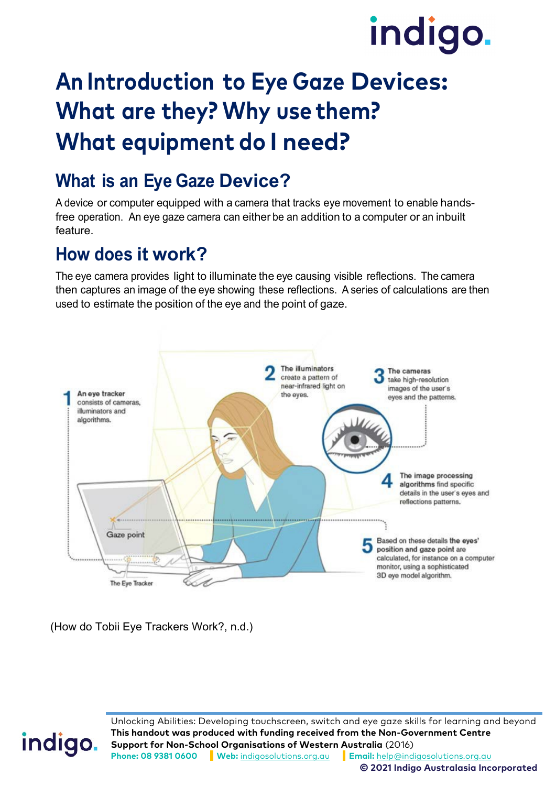# indigo.

## **An Introduction to Eye Gaze Devices: What are they? Why use them? What equipment do I need?**

## **What is an Eye Gaze Device?**

A device or computer equipped with a camera that tracks eye movement to enable handsfree operation. An eye gaze camera can either be an addition to a computer or an inbuilt feature.

#### **How does it work?**

The eye camera provides light to illuminate the eye causing visible reflections. The camera then captures an image of the eye showing these reflections. A series of calculations are then used to estimate the position of the eye and the point of gaze.



(How do Tobii Eye Trackers Work?, n.d.)